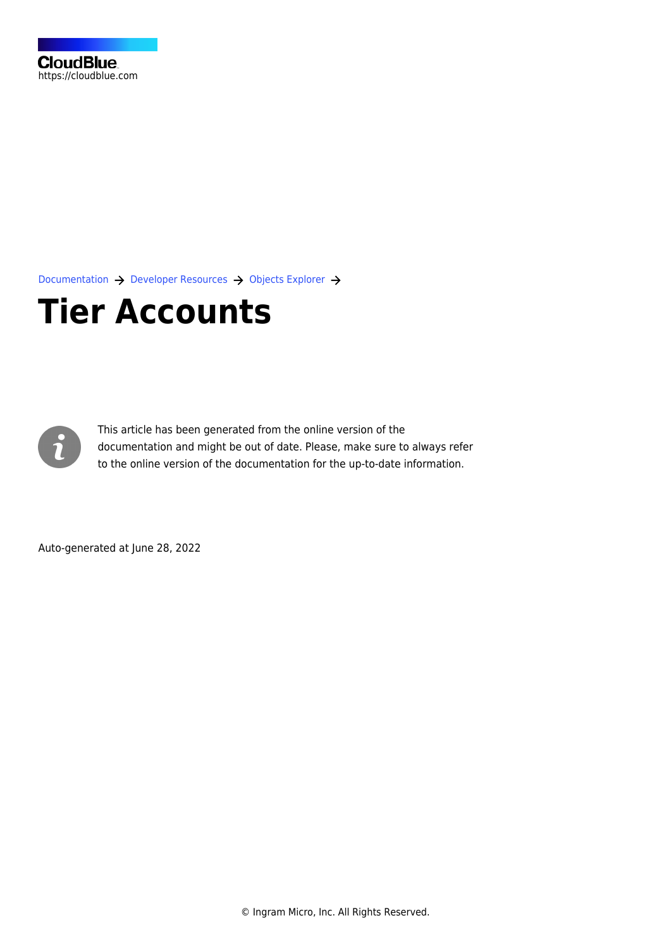[Documentation](https://connect.cloudblue.com/documentation)  $\rightarrow$  [Developer Resources](https://connect.cloudblue.com/community/developers/)  $\rightarrow$  [Objects Explorer](https://connect.cloudblue.com/community/developers/objects/)  $\rightarrow$ 

## **[Tier Accounts](https://connect.cloudblue.com/community/developers/objects/tier-accounts/)**



This article has been generated from the online version of the documentation and might be out of date. Please, make sure to always refer to the online version of the documentation for the up-to-date information.

Auto-generated at June 28, 2022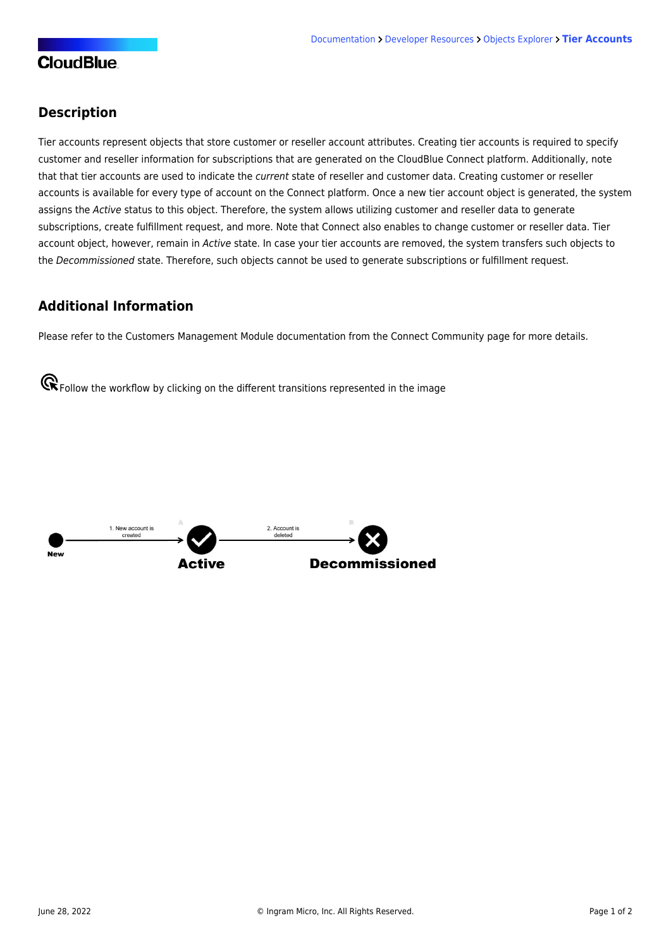## **Description**

Tier accounts represent objects that store customer or reseller account attributes. Creating tier accounts is required to specify customer and reseller information for subscriptions that are generated on the CloudBlue Connect platform. Additionally, note that that tier accounts are used to indicate the current state of reseller and customer data. Creating customer or reseller accounts is available for every type of account on the Connect platform. Once a new tier account object is generated, the system assigns the Active status to this object. Therefore, the system allows utilizing customer and reseller data to generate subscriptions, create fulfillment request, and more. Note that Connect also enables to change customer or reseller data. Tier account object, however, remain in Active state. In case your tier accounts are removed, the system transfers such objects to the Decommissioned state. Therefore, such objects cannot be used to generate subscriptions or fulfillment request.

## **Additional Information**

Please refer to the [Customers Management Module](https://connect.cloudblue.com/community/modules/customers/) documentation from the Connect Community page for more details.

**G** Follow the workflow by clicking on the different transitions represented in the image